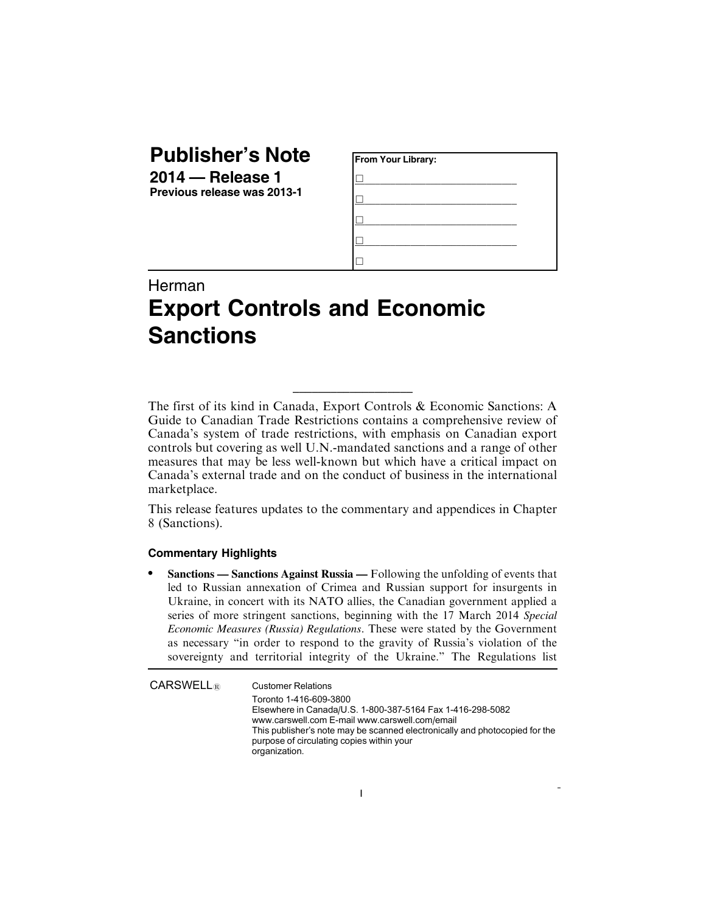## **Publisher's Note**

**2014 — Release 1 Previous release was 2013-1**

| From Your Library: |  |
|--------------------|--|
|                    |  |
|                    |  |
|                    |  |
|                    |  |
|                    |  |

## Herman **Export Controls and Economic Sanctions**

The first of its kind in Canada, Export Controls & Economic Sanctions: A Guide to Canadian Trade Restrictions contains a comprehensive review of Canada's system of trade restrictions, with emphasis on Canadian export controls but covering as well U.N.-mandated sanctions and a range of other measures that may be less well-known but which have a critical impact on Canada's external trade and on the conduct of business in the international marketplace.

\_\_\_\_\_\_\_\_\_\_\_\_\_\_\_\_\_\_\_

This release features updates to the commentary and appendices in Chapter 8 (Sanctions).

## **Commentary Highlights**

. **Sanctions — Sanctions Against Russia —** Following the unfolding of events that led to Russian annexation of Crimea and Russian support for insurgents in Ukraine, in concert with its NATO allies, the Canadian government applied a series of more stringent sanctions, beginning with the 17 March 2014 *Special Economic Measures (Russia) Regulations*. These were stated by the Government as necessary "in order to respond to the gravity of Russia's violation of the sovereignty and territorial integrity of the Ukraine." The Regulations list

 $CARSWELL<sub>®</sub>$  Customer Relations Toronto 1-416-609-3800 Elsewhere in Canada/U.S. 1-800-387-5164 Fax 1-416-298-5082 www.carswell.com E-mail www.carswell.com/email This publisher's note may be scanned electronically and photocopied for the purpose of circulating copies within your organization.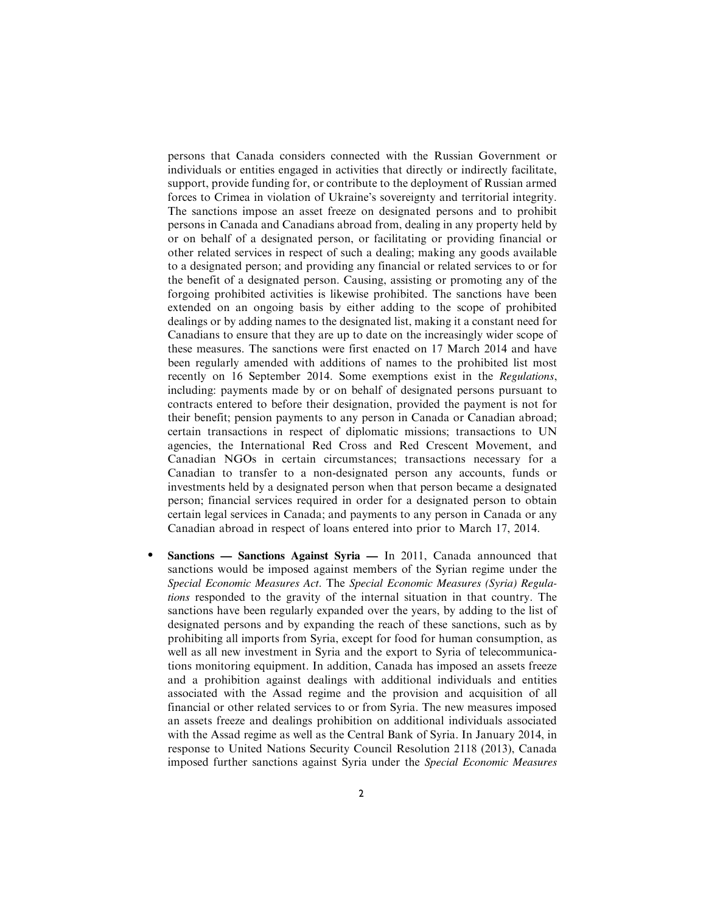persons that Canada considers connected with the Russian Government or individuals or entities engaged in activities that directly or indirectly facilitate, support, provide funding for, or contribute to the deployment of Russian armed forces to Crimea in violation of Ukraine's sovereignty and territorial integrity. The sanctions impose an asset freeze on designated persons and to prohibit persons in Canada and Canadians abroad from, dealing in any property held by or on behalf of a designated person, or facilitating or providing financial or other related services in respect of such a dealing; making any goods available to a designated person; and providing any financial or related services to or for the benefit of a designated person. Causing, assisting or promoting any of the forgoing prohibited activities is likewise prohibited. The sanctions have been extended on an ongoing basis by either adding to the scope of prohibited dealings or by adding names to the designated list, making it a constant need for Canadians to ensure that they are up to date on the increasingly wider scope of these measures. The sanctions were first enacted on 17 March 2014 and have been regularly amended with additions of names to the prohibited list most recently on 16 September 2014. Some exemptions exist in the *Regulations*, including: payments made by or on behalf of designated persons pursuant to contracts entered to before their designation, provided the payment is not for their benefit; pension payments to any person in Canada or Canadian abroad; certain transactions in respect of diplomatic missions; transactions to UN agencies, the International Red Cross and Red Crescent Movement, and Canadian NGOs in certain circumstances; transactions necessary for a Canadian to transfer to a non-designated person any accounts, funds or investments held by a designated person when that person became a designated person; financial services required in order for a designated person to obtain certain legal services in Canada; and payments to any person in Canada or any Canadian abroad in respect of loans entered into prior to March 17, 2014.

. **Sanctions — Sanctions Against Syria —** In 2011, Canada announced that sanctions would be imposed against members of the Syrian regime under the *Special Economic Measures Act*. The *Special Economic Measures (Syria) Regulations* responded to the gravity of the internal situation in that country. The sanctions have been regularly expanded over the years, by adding to the list of designated persons and by expanding the reach of these sanctions, such as by prohibiting all imports from Syria, except for food for human consumption, as well as all new investment in Syria and the export to Syria of telecommunications monitoring equipment. In addition, Canada has imposed an assets freeze and a prohibition against dealings with additional individuals and entities associated with the Assad regime and the provision and acquisition of all financial or other related services to or from Syria. The new measures imposed an assets freeze and dealings prohibition on additional individuals associated with the Assad regime as well as the Central Bank of Syria. In January 2014, in response to United Nations Security Council Resolution 2118 (2013), Canada imposed further sanctions against Syria under the *Special Economic Measures*